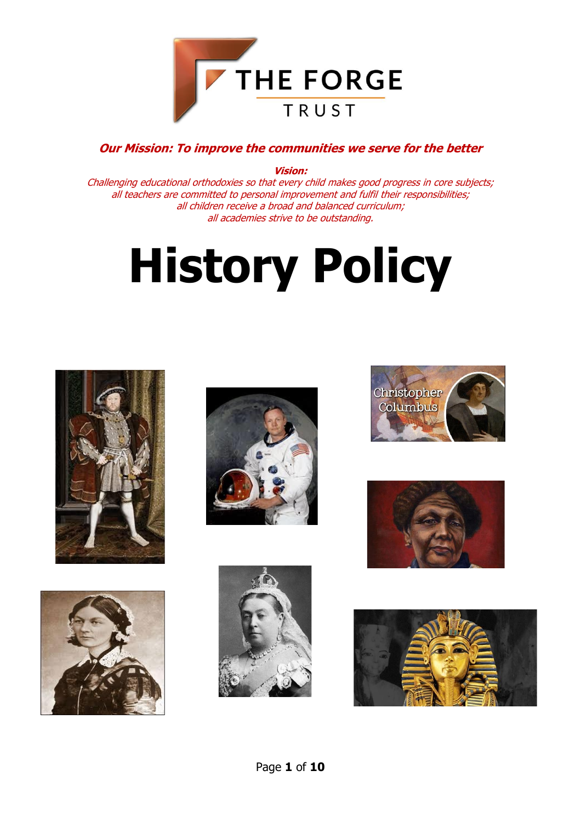

#### **Our Mission: To improve the communities we serve for the better**

**Vision:**

Challenging educational orthodoxies so that every child makes good progress in core subjects; all teachers are committed to personal improvement and fulfil their responsibilities; all children receive a broad and balanced curriculum; all academies strive to be outstanding.

# **History Policy**













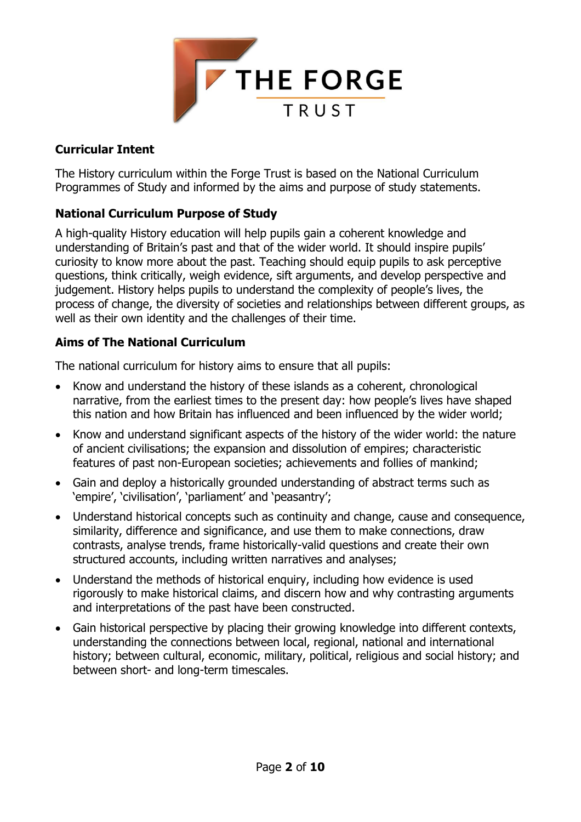

### **Curricular Intent**

The History curriculum within the Forge Trust is based on the National Curriculum Programmes of Study and informed by the aims and purpose of study statements.

#### **National Curriculum Purpose of Study**

A high-quality History education will help pupils gain a coherent knowledge and understanding of Britain's past and that of the wider world. It should inspire pupils' curiosity to know more about the past. Teaching should equip pupils to ask perceptive questions, think critically, weigh evidence, sift arguments, and develop perspective and judgement. History helps pupils to understand the complexity of people's lives, the process of change, the diversity of societies and relationships between different groups, as well as their own identity and the challenges of their time.

#### **Aims of The National Curriculum**

The national curriculum for history aims to ensure that all pupils:

- Know and understand the history of these islands as a coherent, chronological narrative, from the earliest times to the present day: how people's lives have shaped this nation and how Britain has influenced and been influenced by the wider world;
- Know and understand significant aspects of the history of the wider world: the nature of ancient civilisations; the expansion and dissolution of empires; characteristic features of past non-European societies; achievements and follies of mankind;
- Gain and deploy a historically grounded understanding of abstract terms such as 'empire', 'civilisation', 'parliament' and 'peasantry';
- Understand historical concepts such as continuity and change, cause and consequence, similarity, difference and significance, and use them to make connections, draw contrasts, analyse trends, frame historically-valid questions and create their own structured accounts, including written narratives and analyses;
- Understand the methods of historical enquiry, including how evidence is used rigorously to make historical claims, and discern how and why contrasting arguments and interpretations of the past have been constructed.
- Gain historical perspective by placing their growing knowledge into different contexts, understanding the connections between local, regional, national and international history; between cultural, economic, military, political, religious and social history; and between short- and long-term timescales.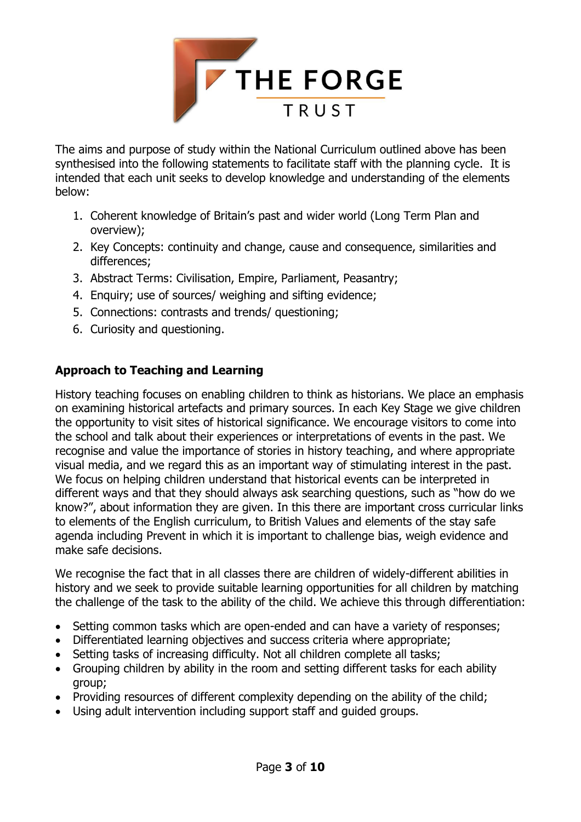

The aims and purpose of study within the National Curriculum outlined above has been synthesised into the following statements to facilitate staff with the planning cycle. It is intended that each unit seeks to develop knowledge and understanding of the elements below:

- 1. Coherent knowledge of Britain's past and wider world (Long Term Plan and overview);
- 2. Key Concepts: continuity and change, cause and consequence, similarities and differences;
- 3. Abstract Terms: Civilisation, Empire, Parliament, Peasantry;
- 4. Enquiry; use of sources/ weighing and sifting evidence;
- 5. Connections: contrasts and trends/ questioning;
- 6. Curiosity and questioning.

### **Approach to Teaching and Learning**

History teaching focuses on enabling children to think as historians. We place an emphasis on examining historical artefacts and primary sources. In each Key Stage we give children the opportunity to visit sites of historical significance. We encourage visitors to come into the school and talk about their experiences or interpretations of events in the past. We recognise and value the importance of stories in history teaching, and where appropriate visual media, and we regard this as an important way of stimulating interest in the past. We focus on helping children understand that historical events can be interpreted in different ways and that they should always ask searching questions, such as "how do we know?", about information they are given. In this there are important cross curricular links to elements of the English curriculum, to British Values and elements of the stay safe agenda including Prevent in which it is important to challenge bias, weigh evidence and make safe decisions.

We recognise the fact that in all classes there are children of widely-different abilities in history and we seek to provide suitable learning opportunities for all children by matching the challenge of the task to the ability of the child. We achieve this through differentiation:

- Setting common tasks which are open-ended and can have a variety of responses;
- Differentiated learning objectives and success criteria where appropriate;
- Setting tasks of increasing difficulty. Not all children complete all tasks;
- Grouping children by ability in the room and setting different tasks for each ability group;
- Providing resources of different complexity depending on the ability of the child;
- Using adult intervention including support staff and guided groups.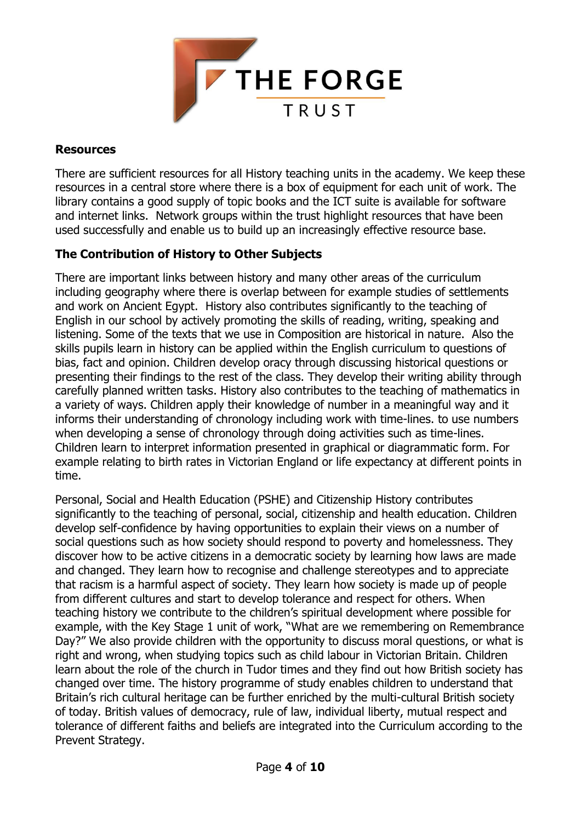

#### **Resources**

There are sufficient resources for all History teaching units in the academy. We keep these resources in a central store where there is a box of equipment for each unit of work. The library contains a good supply of topic books and the ICT suite is available for software and internet links. Network groups within the trust highlight resources that have been used successfully and enable us to build up an increasingly effective resource base.

### **The Contribution of History to Other Subjects**

There are important links between history and many other areas of the curriculum including geography where there is overlap between for example studies of settlements and work on Ancient Egypt. History also contributes significantly to the teaching of English in our school by actively promoting the skills of reading, writing, speaking and listening. Some of the texts that we use in Composition are historical in nature. Also the skills pupils learn in history can be applied within the English curriculum to questions of bias, fact and opinion. Children develop oracy through discussing historical questions or presenting their findings to the rest of the class. They develop their writing ability through carefully planned written tasks. History also contributes to the teaching of mathematics in a variety of ways. Children apply their knowledge of number in a meaningful way and it informs their understanding of chronology including work with time-lines. to use numbers when developing a sense of chronology through doing activities such as time-lines. Children learn to interpret information presented in graphical or diagrammatic form. For example relating to birth rates in Victorian England or life expectancy at different points in time.

Personal, Social and Health Education (PSHE) and Citizenship History contributes significantly to the teaching of personal, social, citizenship and health education. Children develop self-confidence by having opportunities to explain their views on a number of social questions such as how society should respond to poverty and homelessness. They discover how to be active citizens in a democratic society by learning how laws are made and changed. They learn how to recognise and challenge stereotypes and to appreciate that racism is a harmful aspect of society. They learn how society is made up of people from different cultures and start to develop tolerance and respect for others. When teaching history we contribute to the children's spiritual development where possible for example, with the Key Stage 1 unit of work, "What are we remembering on Remembrance Day?" We also provide children with the opportunity to discuss moral questions, or what is right and wrong, when studying topics such as child labour in Victorian Britain. Children learn about the role of the church in Tudor times and they find out how British society has changed over time. The history programme of study enables children to understand that Britain's rich cultural heritage can be further enriched by the multi-cultural British society of today. British values of democracy, rule of law, individual liberty, mutual respect and tolerance of different faiths and beliefs are integrated into the Curriculum according to the Prevent Strategy.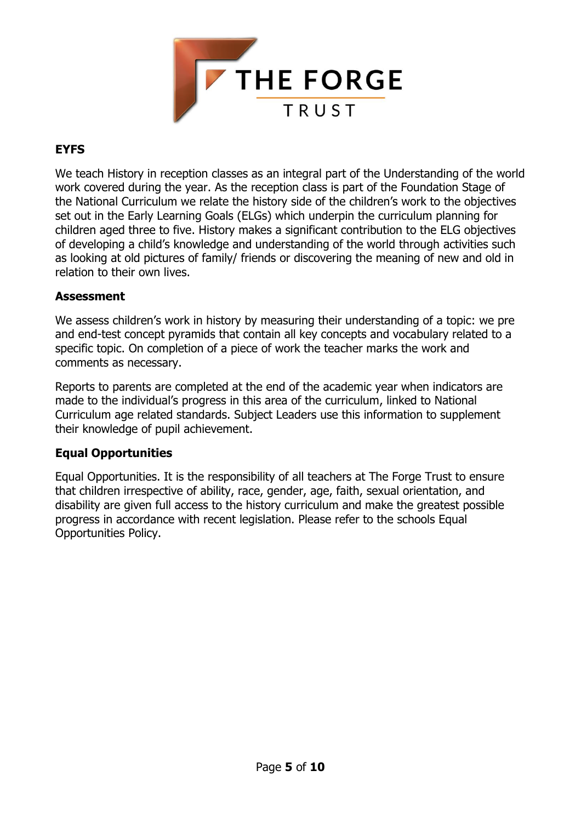

### **EYFS**

We teach History in reception classes as an integral part of the Understanding of the world work covered during the year. As the reception class is part of the Foundation Stage of the National Curriculum we relate the history side of the children's work to the objectives set out in the Early Learning Goals (ELGs) which underpin the curriculum planning for children aged three to five. History makes a significant contribution to the ELG objectives of developing a child's knowledge and understanding of the world through activities such as looking at old pictures of family/ friends or discovering the meaning of new and old in relation to their own lives.

#### **Assessment**

We assess children's work in history by measuring their understanding of a topic: we pre and end-test concept pyramids that contain all key concepts and vocabulary related to a specific topic. On completion of a piece of work the teacher marks the work and comments as necessary.

Reports to parents are completed at the end of the academic year when indicators are made to the individual's progress in this area of the curriculum, linked to National Curriculum age related standards. Subject Leaders use this information to supplement their knowledge of pupil achievement.

#### **Equal Opportunities**

Equal Opportunities. It is the responsibility of all teachers at The Forge Trust to ensure that children irrespective of ability, race, gender, age, faith, sexual orientation, and disability are given full access to the history curriculum and make the greatest possible progress in accordance with recent legislation. Please refer to the schools Equal Opportunities Policy.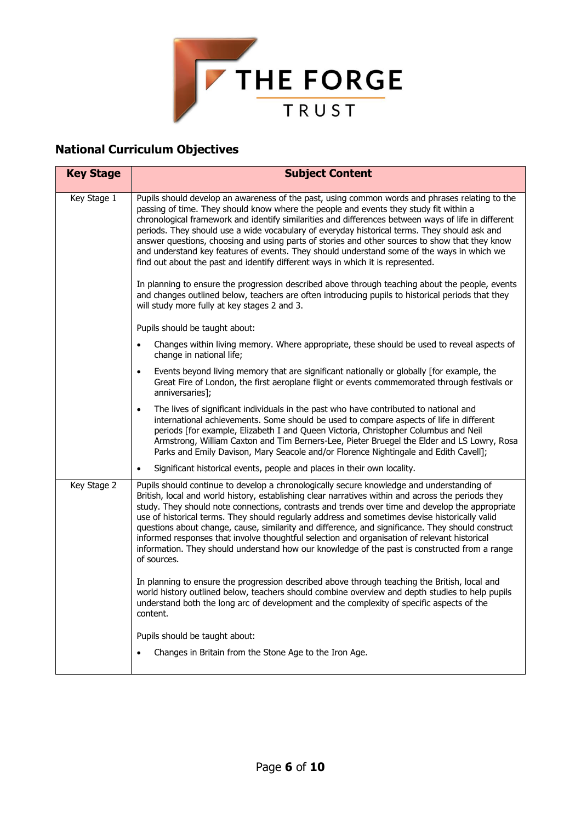

## **National Curriculum Objectives**

| <b>Key Stage</b> | <b>Subject Content</b>                                                                                                                                                                                                                                                                                                                                                                                                                                                                                                                                                                                                                                                                                                    |
|------------------|---------------------------------------------------------------------------------------------------------------------------------------------------------------------------------------------------------------------------------------------------------------------------------------------------------------------------------------------------------------------------------------------------------------------------------------------------------------------------------------------------------------------------------------------------------------------------------------------------------------------------------------------------------------------------------------------------------------------------|
| Key Stage 1      | Pupils should develop an awareness of the past, using common words and phrases relating to the<br>passing of time. They should know where the people and events they study fit within a<br>chronological framework and identify similarities and differences between ways of life in different<br>periods. They should use a wide vocabulary of everyday historical terms. They should ask and<br>answer questions, choosing and using parts of stories and other sources to show that they know<br>and understand key features of events. They should understand some of the ways in which we<br>find out about the past and identify different ways in which it is represented.                                         |
|                  | In planning to ensure the progression described above through teaching about the people, events<br>and changes outlined below, teachers are often introducing pupils to historical periods that they<br>will study more fully at key stages 2 and 3.                                                                                                                                                                                                                                                                                                                                                                                                                                                                      |
|                  | Pupils should be taught about:                                                                                                                                                                                                                                                                                                                                                                                                                                                                                                                                                                                                                                                                                            |
|                  | Changes within living memory. Where appropriate, these should be used to reveal aspects of<br>$\bullet$<br>change in national life;                                                                                                                                                                                                                                                                                                                                                                                                                                                                                                                                                                                       |
|                  | Events beyond living memory that are significant nationally or globally [for example, the<br>$\bullet$<br>Great Fire of London, the first aeroplane flight or events commemorated through festivals or<br>anniversaries];                                                                                                                                                                                                                                                                                                                                                                                                                                                                                                 |
|                  | The lives of significant individuals in the past who have contributed to national and<br>$\bullet$<br>international achievements. Some should be used to compare aspects of life in different<br>periods [for example, Elizabeth I and Queen Victoria, Christopher Columbus and Neil<br>Armstrong, William Caxton and Tim Berners-Lee, Pieter Bruegel the Elder and LS Lowry, Rosa<br>Parks and Emily Davison, Mary Seacole and/or Florence Nightingale and Edith Cavell];                                                                                                                                                                                                                                                |
|                  | Significant historical events, people and places in their own locality.<br>$\bullet$                                                                                                                                                                                                                                                                                                                                                                                                                                                                                                                                                                                                                                      |
| Key Stage 2      | Pupils should continue to develop a chronologically secure knowledge and understanding of<br>British, local and world history, establishing clear narratives within and across the periods they<br>study. They should note connections, contrasts and trends over time and develop the appropriate<br>use of historical terms. They should regularly address and sometimes devise historically valid<br>questions about change, cause, similarity and difference, and significance. They should construct<br>informed responses that involve thoughtful selection and organisation of relevant historical<br>information. They should understand how our knowledge of the past is constructed from a range<br>of sources. |
|                  | In planning to ensure the progression described above through teaching the British, local and<br>world history outlined below, teachers should combine overview and depth studies to help pupils<br>understand both the long arc of development and the complexity of specific aspects of the<br>content.                                                                                                                                                                                                                                                                                                                                                                                                                 |
|                  | Pupils should be taught about:                                                                                                                                                                                                                                                                                                                                                                                                                                                                                                                                                                                                                                                                                            |
|                  | Changes in Britain from the Stone Age to the Iron Age.                                                                                                                                                                                                                                                                                                                                                                                                                                                                                                                                                                                                                                                                    |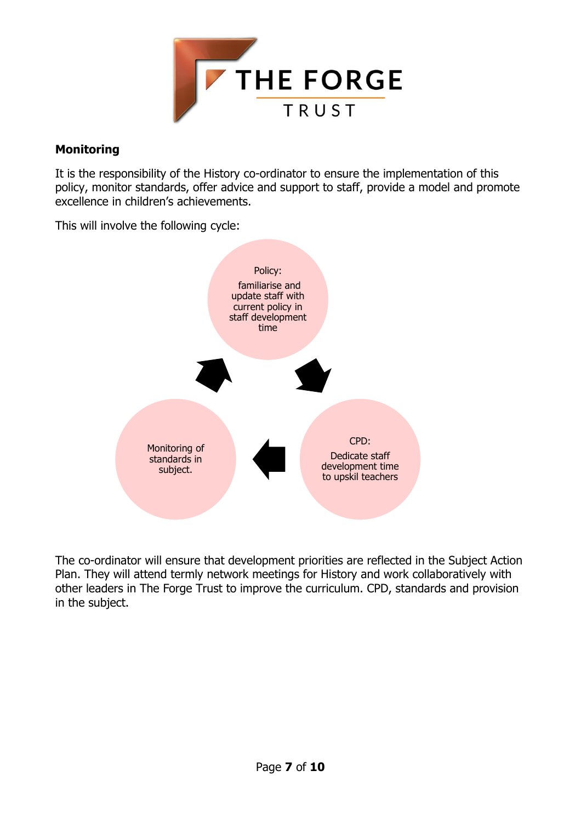

### **Monitoring**

It is the responsibility of the History co-ordinator to ensure the implementation of this policy, monitor standards, offer advice and support to staff, provide a model and promote excellence in children's achievements.

This will involve the following cycle:



The co-ordinator will ensure that development priorities are reflected in the Subject Action Plan. They will attend termly network meetings for History and work collaboratively with other leaders in The Forge Trust to improve the curriculum. CPD, standards and provision in the subject.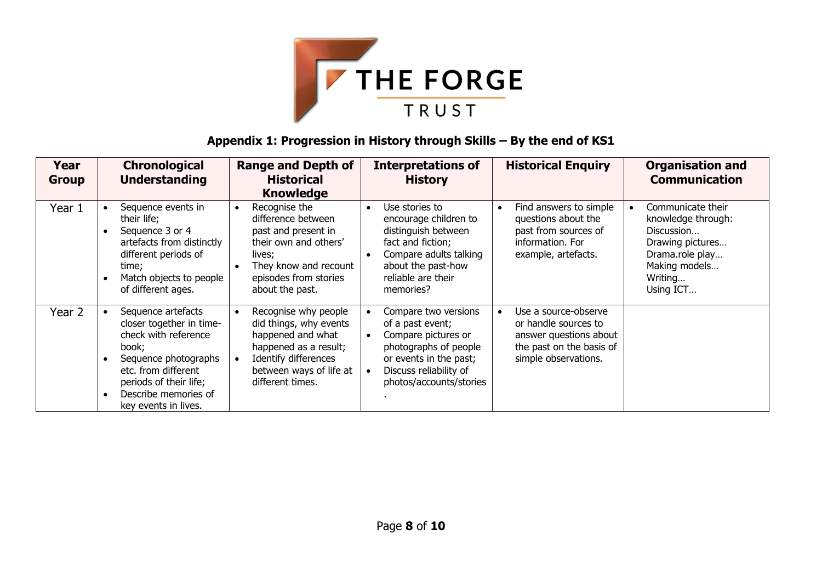

## Appendix 1: Progression in History through Skills - By the end of KS1

| Year<br><b>Group</b> | <b>Chronological</b><br><b>Understanding</b>                                                                                                                                                             | <b>Range and Depth of</b><br><b>Historical</b><br><b>Knowledge</b>                                                                                                              | <b>Interpretations of</b><br><b>History</b>                                                                                                                                          | <b>Historical Enquiry</b>                                                                                                               | <b>Organisation and</b><br><b>Communication</b>                                                                                       |
|----------------------|----------------------------------------------------------------------------------------------------------------------------------------------------------------------------------------------------------|---------------------------------------------------------------------------------------------------------------------------------------------------------------------------------|--------------------------------------------------------------------------------------------------------------------------------------------------------------------------------------|-----------------------------------------------------------------------------------------------------------------------------------------|---------------------------------------------------------------------------------------------------------------------------------------|
| Year 1               | Sequence events in<br>their life;<br>Sequence 3 or 4<br>artefacts from distinctly<br>different periods of<br>time;<br>Match objects to people<br>of different ages.                                      | Recognise the<br>$\bullet$<br>difference between<br>past and present in<br>their own and others'<br>lives;<br>They know and recount<br>episodes from stories<br>about the past. | Use stories to<br>encourage children to<br>distinguish between<br>fact and fiction;<br>Compare adults talking<br>about the past-how<br>reliable are their<br>memories?               | Find answers to simple<br>$\bullet$<br>questions about the<br>past from sources of<br>information. For<br>example, artefacts.           | Communicate their<br>knowledge through:<br>Discussion<br>Drawing pictures<br>Drama.role play<br>Making models<br>Writing<br>Using ICT |
| Year 2               | Sequence artefacts<br>closer together in time-<br>check with reference<br>book;<br>Sequence photographs<br>etc. from different<br>periods of their life;<br>Describe memories of<br>key events in lives. | Recognise why people<br>did things, why events<br>happened and what<br>happened as a result;<br>Identify differences<br>between ways of life at<br>different times.             | Compare two versions<br>of a past event;<br>Compare pictures or<br>photographs of people<br>or events in the past;<br>Discuss reliability of<br>$\bullet$<br>photos/accounts/stories | Use a source-observe<br>$\bullet$<br>or handle sources to<br>answer questions about<br>the past on the basis of<br>simple observations. |                                                                                                                                       |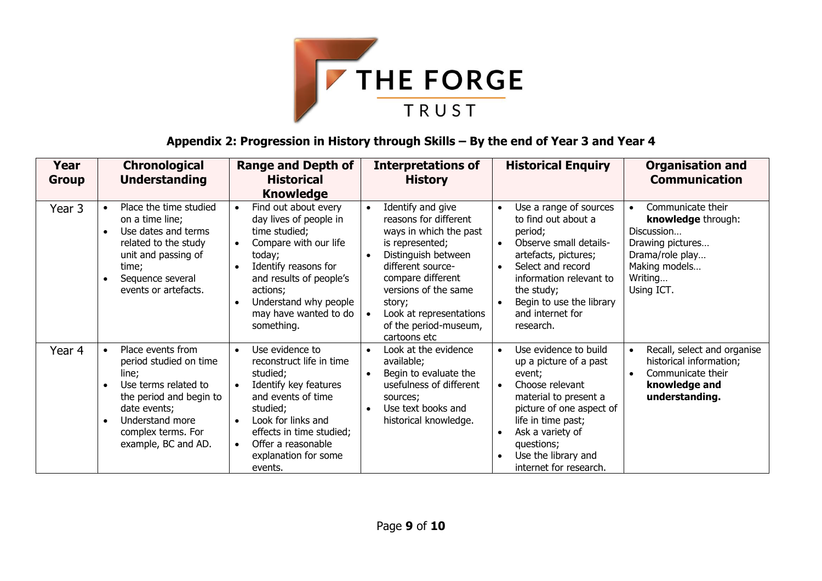

## **Appendix 2: Progression in History through Skills – By the end of Year 3 and Year 4**

| Year<br>Group | <b>Chronological</b><br><b>Understanding</b>                                                                                                                                                         | <b>Range and Depth of</b><br><b>Historical</b><br><b>Knowledge</b>                                                                                                                                                                                          | <b>Interpretations of</b><br><b>History</b>                                                                                                                                                                                                                                 | <b>Historical Enquiry</b>                                                                                                                                                                                                                                                                      | <b>Organisation and</b><br><b>Communication</b>                                                                                        |
|---------------|------------------------------------------------------------------------------------------------------------------------------------------------------------------------------------------------------|-------------------------------------------------------------------------------------------------------------------------------------------------------------------------------------------------------------------------------------------------------------|-----------------------------------------------------------------------------------------------------------------------------------------------------------------------------------------------------------------------------------------------------------------------------|------------------------------------------------------------------------------------------------------------------------------------------------------------------------------------------------------------------------------------------------------------------------------------------------|----------------------------------------------------------------------------------------------------------------------------------------|
| Year 3        | Place the time studied<br>on a time line;<br>Use dates and terms<br>related to the study<br>unit and passing of<br>time:<br>Sequence several<br>events or artefacts.                                 | Find out about every<br>$\bullet$<br>day lives of people in<br>time studied;<br>Compare with our life<br>today;<br>Identify reasons for<br>and results of people's<br>actions;<br>Understand why people<br>$\bullet$<br>may have wanted to do<br>something. | Identify and give<br>reasons for different<br>ways in which the past<br>is represented;<br>Distinguish between<br>different source-<br>compare different<br>versions of the same<br>story;<br>Look at representations<br>$\bullet$<br>of the period-museum,<br>cartoons etc | Use a range of sources<br>$\bullet$<br>to find out about a<br>period;<br>Observe small details-<br>$\bullet$<br>artefacts, pictures;<br>Select and record<br>$\bullet$<br>information relevant to<br>the study;<br>Begin to use the library<br>and internet for<br>research.                   | Communicate their<br>knowledge through:<br>Discussion<br>Drawing pictures<br>Drama/role play<br>Making models<br>Writing<br>Using ICT. |
| Year 4        | Place events from<br>period studied on time<br>line;<br>Use terms related to<br>the period and begin to<br>date events;<br>Understand more<br>$\bullet$<br>complex terms. For<br>example, BC and AD. | Use evidence to<br>$\bullet$<br>reconstruct life in time<br>studied;<br>Identify key features<br>and events of time<br>studied;<br>Look for links and<br>effects in time studied;<br>Offer a reasonable<br>$\bullet$<br>explanation for some<br>events.     | Look at the evidence<br>$\bullet$<br>available;<br>Begin to evaluate the<br>usefulness of different<br>sources;<br>Use text books and<br>historical knowledge.                                                                                                              | Use evidence to build<br>$\bullet$<br>up a picture of a past<br>event:<br>Choose relevant<br>$\bullet$<br>material to present a<br>picture of one aspect of<br>life in time past;<br>Ask a variety of<br>$\bullet$<br>questions;<br>Use the library and<br>$\bullet$<br>internet for research. | Recall, select and organise<br>historical information;<br>Communicate their<br>knowledge and<br>understanding.                         |